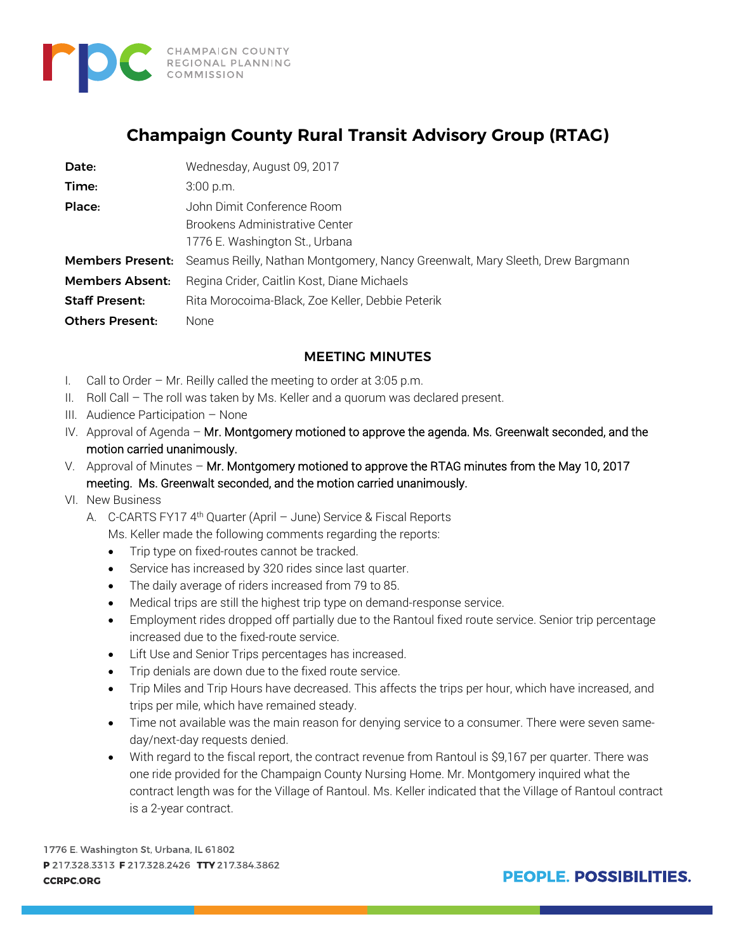

# **Champaign County Rural Transit Advisory Group (RTAG)**

| Date:                   | Wednesday, August 09, 2017                                                    |
|-------------------------|-------------------------------------------------------------------------------|
| Time:                   | 3:00 p.m.                                                                     |
| Place:                  | John Dimit Conference Room                                                    |
|                         | Brookens Administrative Center                                                |
|                         | 1776 E. Washington St., Urbana                                                |
| <b>Members Present:</b> | Seamus Reilly, Nathan Montgomery, Nancy Greenwalt, Mary Sleeth, Drew Bargmann |
| <b>Members Absent:</b>  | Regina Crider, Caitlin Kost, Diane Michaels                                   |
| <b>Staff Present:</b>   | Rita Morocoima-Black, Zoe Keller, Debbie Peterik                              |
| <b>Others Present:</b>  | None                                                                          |

## MEETING MINUTES

- I. Call to Order Mr. Reilly called the meeting to order at 3:05 p.m.
- II. Roll Call The roll was taken by Ms. Keller and a quorum was declared present.
- III. Audience Participation None
- IV. Approval of Agenda Mr. Montgomery motioned to approve the agenda. Ms. Greenwalt seconded, and the motion carried unanimously.
- V. Approval of Minutes Mr. Montgomery motioned to approve the RTAG minutes from the May 10, 2017 meeting. Ms. Greenwalt seconded, and the motion carried unanimously.
- VI. New Business
	- A. C-CARTS FY17 4<sup>th</sup> Quarter (April June) Service & Fiscal Reports Ms. Keller made the following comments regarding the reports:
		- Trip type on fixed-routes cannot be tracked.
		- Service has increased by 320 rides since last quarter.
		- The daily average of riders increased from 79 to 85.
		- Medical trips are still the highest trip type on demand-response service.
		- Employment rides dropped off partially due to the Rantoul fixed route service. Senior trip percentage increased due to the fixed-route service.
		- Lift Use and Senior Trips percentages has increased.
		- Trip denials are down due to the fixed route service.
		- Trip Miles and Trip Hours have decreased. This affects the trips per hour, which have increased, and trips per mile, which have remained steady.
		- Time not available was the main reason for denying service to a consumer. There were seven sameday/next-day requests denied.
		- With regard to the fiscal report, the contract revenue from Rantoul is \$9,167 per quarter. There was one ride provided for the Champaign County Nursing Home. Mr. Montgomery inquired what the contract length was for the Village of Rantoul. Ms. Keller indicated that the Village of Rantoul contract is a 2-year contract.

1776 E. Washington St, Urbana, IL 61802 P 217.328.3313 F 217.328.2426 TTY 217.384.3862 **CCRPC.ORG** 

**PEOPLE, POSSIBILITIES.**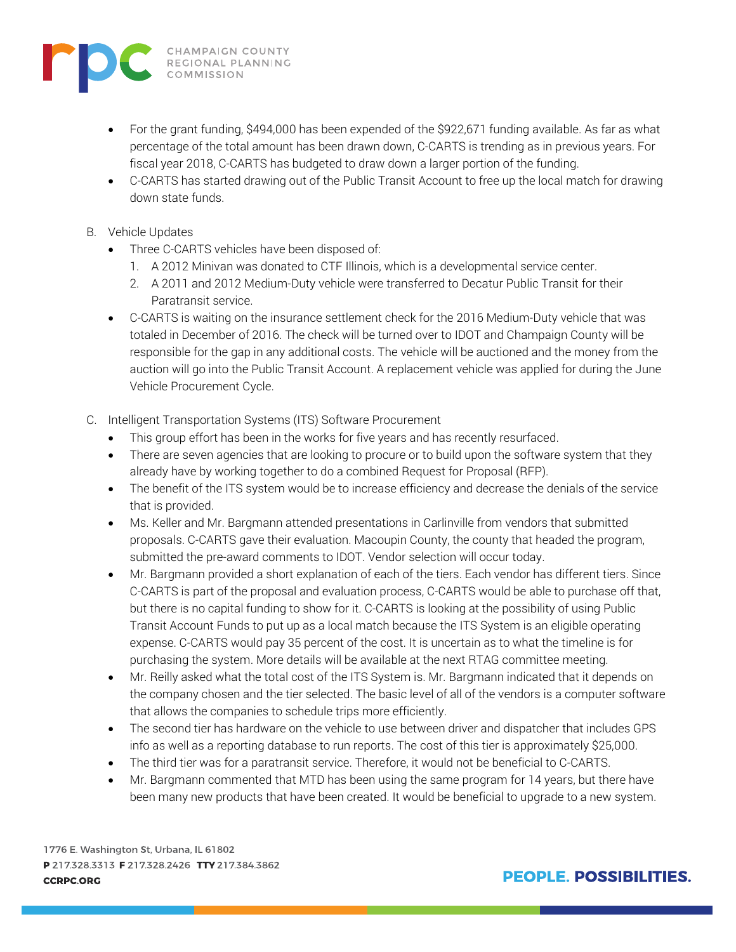

- For the grant funding, \$494,000 has been expended of the \$922,671 funding available. As far as what percentage of the total amount has been drawn down, C-CARTS is trending as in previous years. For fiscal year 2018, C-CARTS has budgeted to draw down a larger portion of the funding.
- C-CARTS has started drawing out of the Public Transit Account to free up the local match for drawing down state funds.
- B. Vehicle Updates
	- Three C-CARTS vehicles have been disposed of:
		- 1. A 2012 Minivan was donated to CTF Illinois, which is a developmental service center.
		- 2. A 2011 and 2012 Medium-Duty vehicle were transferred to Decatur Public Transit for their Paratransit service.
	- C-CARTS is waiting on the insurance settlement check for the 2016 Medium-Duty vehicle that was totaled in December of 2016. The check will be turned over to IDOT and Champaign County will be responsible for the gap in any additional costs. The vehicle will be auctioned and the money from the auction will go into the Public Transit Account. A replacement vehicle was applied for during the June Vehicle Procurement Cycle.
- C. Intelligent Transportation Systems (ITS) Software Procurement
	- This group effort has been in the works for five years and has recently resurfaced.
	- There are seven agencies that are looking to procure or to build upon the software system that they already have by working together to do a combined Request for Proposal (RFP).
	- The benefit of the ITS system would be to increase efficiency and decrease the denials of the service that is provided.
	- Ms. Keller and Mr. Bargmann attended presentations in Carlinville from vendors that submitted proposals. C-CARTS gave their evaluation. Macoupin County, the county that headed the program, submitted the pre-award comments to IDOT. Vendor selection will occur today.
	- Mr. Bargmann provided a short explanation of each of the tiers. Each vendor has different tiers. Since C-CARTS is part of the proposal and evaluation process, C-CARTS would be able to purchase off that, but there is no capital funding to show for it. C-CARTS is looking at the possibility of using Public Transit Account Funds to put up as a local match because the ITS System is an eligible operating expense. C-CARTS would pay 35 percent of the cost. It is uncertain as to what the timeline is for purchasing the system. More details will be available at the next RTAG committee meeting.
	- Mr. Reilly asked what the total cost of the ITS System is. Mr. Bargmann indicated that it depends on the company chosen and the tier selected. The basic level of all of the vendors is a computer software that allows the companies to schedule trips more efficiently.
	- The second tier has hardware on the vehicle to use between driver and dispatcher that includes GPS info as well as a reporting database to run reports. The cost of this tier is approximately \$25,000.
	- The third tier was for a paratransit service. Therefore, it would not be beneficial to C-CARTS.
	- Mr. Bargmann commented that MTD has been using the same program for 14 years, but there have been many new products that have been created. It would be beneficial to upgrade to a new system.

1776 E. Washington St, Urbana, IL 61802 P 217.328.3313 F 217.328.2426 TTY 217.384.3862 **CCRPC.ORG** 

**PEOPLE, POSSIBILITIES.**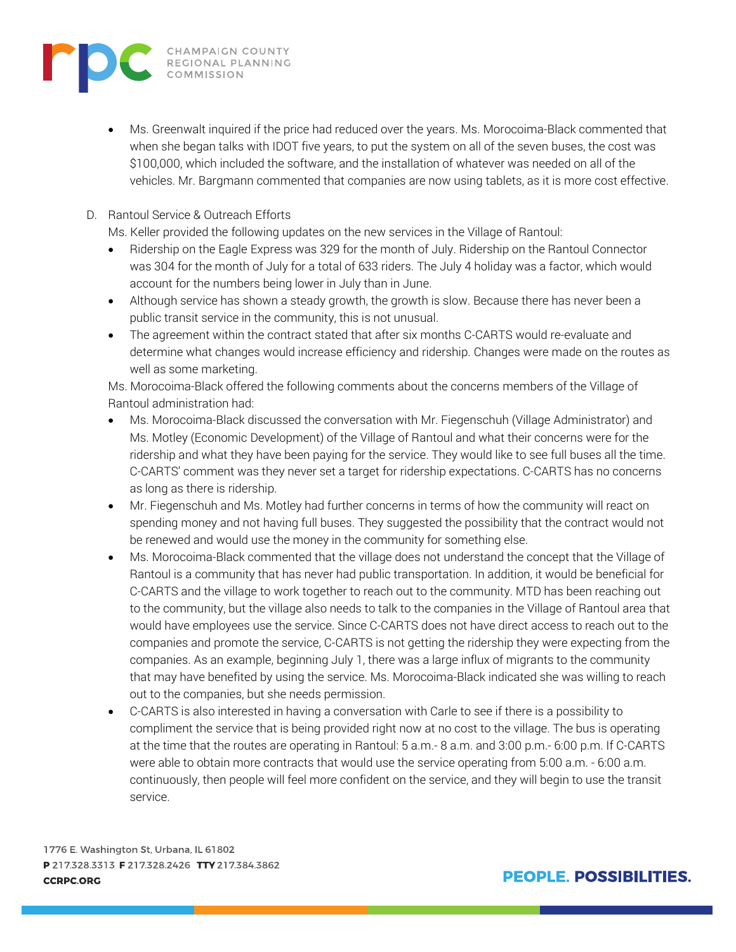

• Ms. Greenwalt inquired if the price had reduced over the years. Ms. Morocoima-Black commented that when she began talks with IDOT five years, to put the system on all of the seven buses, the cost was \$100,000, which included the software, and the installation of whatever was needed on all of the vehicles. Mr. Bargmann commented that companies are now using tablets, as it is more cost effective.

#### D. Rantoul Service & Outreach Efforts

Ms. Keller provided the following updates on the new services in the Village of Rantoul:

- Ridership on the Eagle Express was 329 for the month of July. Ridership on the Rantoul Connector was 304 for the month of July for a total of 633 riders. The July 4 holiday was a factor, which would account for the numbers being lower in July than in June.
- Although service has shown a steady growth, the growth is slow. Because there has never been a public transit service in the community, this is not unusual.
- The agreement within the contract stated that after six months C-CARTS would re-evaluate and determine what changes would increase efficiency and ridership. Changes were made on the routes as well as some marketing.

Ms. Morocoima-Black offered the following comments about the concerns members of the Village of Rantoul administration had:

- Ms. Morocoima-Black discussed the conversation with Mr. Fiegenschuh (Village Administrator) and Ms. Motley (Economic Development) of the Village of Rantoul and what their concerns were for the ridership and what they have been paying for the service. They would like to see full buses all the time. C-CARTS' comment was they never set a target for ridership expectations. C-CARTS has no concerns as long as there is ridership.
- Mr. Fiegenschuh and Ms. Motley had further concerns in terms of how the community will react on spending money and not having full buses. They suggested the possibility that the contract would not be renewed and would use the money in the community for something else.
- Ms. Morocoima-Black commented that the village does not understand the concept that the Village of Rantoul is a community that has never had public transportation. In addition, it would be beneficial for C-CARTS and the village to work together to reach out to the community. MTD has been reaching out to the community, but the village also needs to talk to the companies in the Village of Rantoul area that would have employees use the service. Since C-CARTS does not have direct access to reach out to the companies and promote the service, C-CARTS is not getting the ridership they were expecting from the companies. As an example, beginning July 1, there was a large influx of migrants to the community that may have benefited by using the service. Ms. Morocoima-Black indicated she was willing to reach out to the companies, but she needs permission.
- C-CARTS is also interested in having a conversation with Carle to see if there is a possibility to compliment the service that is being provided right now at no cost to the village. The bus is operating at the time that the routes are operating in Rantoul: 5 a.m.- 8 a.m. and 3:00 p.m.- 6:00 p.m. If C-CARTS were able to obtain more contracts that would use the service operating from 5:00 a.m. - 6:00 a.m. continuously, then people will feel more confident on the service, and they will begin to use the transit service.

1776 E. Washington St, Urbana, IL 61802 P 217.328.3313 F 217.328.2426 TTY 217.384.3862 **CCRPC.ORG** 

**PEOPLE, POSSIBILITIES.**